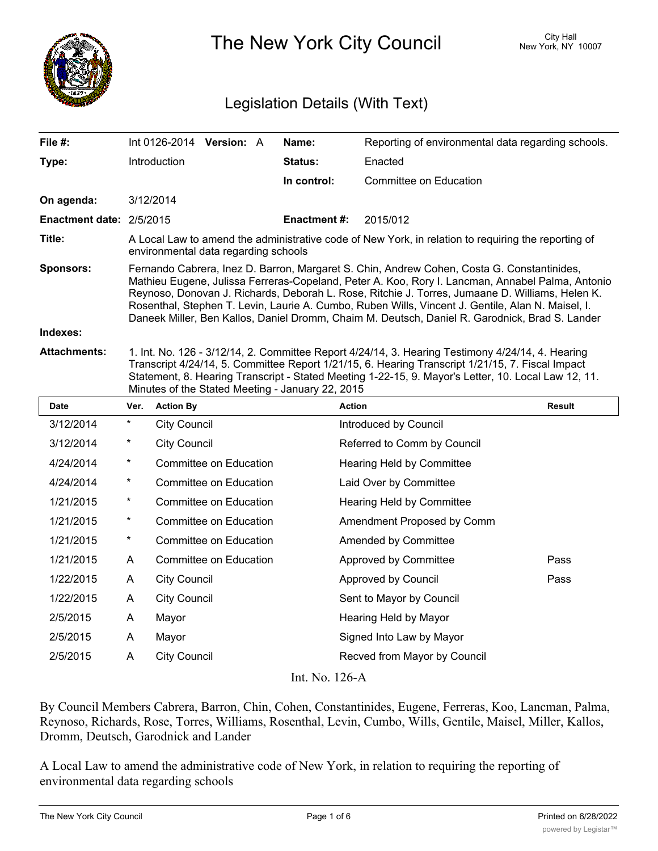

The New York City Council New York, NY 10007

# Legislation Details (With Text)

| File #:                  |                                                                                                                                                                                                                                                                                                                                                                                                                                                                                                          |                     | Int 0126-2014 Version: A |  | Name:              | Reporting of environmental data regarding schools. |        |
|--------------------------|----------------------------------------------------------------------------------------------------------------------------------------------------------------------------------------------------------------------------------------------------------------------------------------------------------------------------------------------------------------------------------------------------------------------------------------------------------------------------------------------------------|---------------------|--------------------------|--|--------------------|----------------------------------------------------|--------|
| Type:                    |                                                                                                                                                                                                                                                                                                                                                                                                                                                                                                          | Introduction        |                          |  | Status:            | Enacted                                            |        |
|                          |                                                                                                                                                                                                                                                                                                                                                                                                                                                                                                          |                     |                          |  | In control:        | <b>Committee on Education</b>                      |        |
| On agenda:               |                                                                                                                                                                                                                                                                                                                                                                                                                                                                                                          | 3/12/2014           |                          |  |                    |                                                    |        |
| Enactment date: 2/5/2015 |                                                                                                                                                                                                                                                                                                                                                                                                                                                                                                          |                     |                          |  | <b>Enactment#:</b> | 2015/012                                           |        |
| Title:                   | A Local Law to amend the administrative code of New York, in relation to requiring the reporting of<br>environmental data regarding schools                                                                                                                                                                                                                                                                                                                                                              |                     |                          |  |                    |                                                    |        |
| <b>Sponsors:</b>         | Fernando Cabrera, Inez D. Barron, Margaret S. Chin, Andrew Cohen, Costa G. Constantinides,<br>Mathieu Eugene, Julissa Ferreras-Copeland, Peter A. Koo, Rory I. Lancman, Annabel Palma, Antonio<br>Reynoso, Donovan J. Richards, Deborah L. Rose, Ritchie J. Torres, Jumaane D. Williams, Helen K.<br>Rosenthal, Stephen T. Levin, Laurie A. Cumbo, Ruben Wills, Vincent J. Gentile, Alan N. Maisel, I.<br>Daneek Miller, Ben Kallos, Daniel Dromm, Chaim M. Deutsch, Daniel R. Garodnick, Brad S. Lander |                     |                          |  |                    |                                                    |        |
| Indexes:                 |                                                                                                                                                                                                                                                                                                                                                                                                                                                                                                          |                     |                          |  |                    |                                                    |        |
| <b>Attachments:</b>      | 1. Int. No. 126 - 3/12/14, 2. Committee Report 4/24/14, 3. Hearing Testimony 4/24/14, 4. Hearing<br>Transcript 4/24/14, 5. Committee Report 1/21/15, 6. Hearing Transcript 1/21/15, 7. Fiscal Impact<br>Statement, 8. Hearing Transcript - Stated Meeting 1-22-15, 9. Mayor's Letter, 10. Local Law 12, 11.<br>Minutes of the Stated Meeting - January 22, 2015                                                                                                                                          |                     |                          |  |                    |                                                    |        |
| <b>Date</b>              | Ver.                                                                                                                                                                                                                                                                                                                                                                                                                                                                                                     | <b>Action By</b>    |                          |  |                    | <b>Action</b>                                      | Result |
| 3/12/2014                | $\star$                                                                                                                                                                                                                                                                                                                                                                                                                                                                                                  | <b>City Council</b> |                          |  |                    | Introduced by Council                              |        |
| 3/12/2014                | $^\star$                                                                                                                                                                                                                                                                                                                                                                                                                                                                                                 | <b>City Council</b> |                          |  |                    | Referred to Comm by Council                        |        |
| 4/24/2014                | $\star$                                                                                                                                                                                                                                                                                                                                                                                                                                                                                                  |                     | Committee on Education   |  |                    | Hearing Held by Committee                          |        |
| 4/24/2014                | $^\star$                                                                                                                                                                                                                                                                                                                                                                                                                                                                                                 |                     | Committee on Education   |  |                    | Laid Over by Committee                             |        |
| 1/21/2015                | $\ast$                                                                                                                                                                                                                                                                                                                                                                                                                                                                                                   |                     | Committee on Education   |  |                    | Hearing Held by Committee                          |        |
| 1/21/2015                | $\star$                                                                                                                                                                                                                                                                                                                                                                                                                                                                                                  |                     | Committee on Education   |  |                    | Amendment Proposed by Comm                         |        |
| 1/21/2015                | $\star$                                                                                                                                                                                                                                                                                                                                                                                                                                                                                                  |                     | Committee on Education   |  |                    | Amended by Committee                               |        |
| 1/21/2015                | A                                                                                                                                                                                                                                                                                                                                                                                                                                                                                                        |                     | Committee on Education   |  |                    | Approved by Committee                              | Pass   |
| 1/22/2015                | A                                                                                                                                                                                                                                                                                                                                                                                                                                                                                                        | <b>City Council</b> |                          |  |                    | Approved by Council                                | Pass   |
| 1/22/2015                | A                                                                                                                                                                                                                                                                                                                                                                                                                                                                                                        | <b>City Council</b> |                          |  |                    | Sent to Mayor by Council                           |        |
| 2/5/2015                 | A                                                                                                                                                                                                                                                                                                                                                                                                                                                                                                        | Mayor               |                          |  |                    | Hearing Held by Mayor                              |        |
| 2/5/2015                 | A                                                                                                                                                                                                                                                                                                                                                                                                                                                                                                        | Mayor               |                          |  |                    | Signed Into Law by Mayor                           |        |
| 2/5/2015                 | A                                                                                                                                                                                                                                                                                                                                                                                                                                                                                                        | <b>City Council</b> |                          |  |                    | Recved from Mayor by Council                       |        |

Int. No. 126-A

By Council Members Cabrera, Barron, Chin, Cohen, Constantinides, Eugene, Ferreras, Koo, Lancman, Palma, Reynoso, Richards, Rose, Torres, Williams, Rosenthal, Levin, Cumbo, Wills, Gentile, Maisel, Miller, Kallos, Dromm, Deutsch, Garodnick and Lander

A Local Law to amend the administrative code of New York, in relation to requiring the reporting of environmental data regarding schools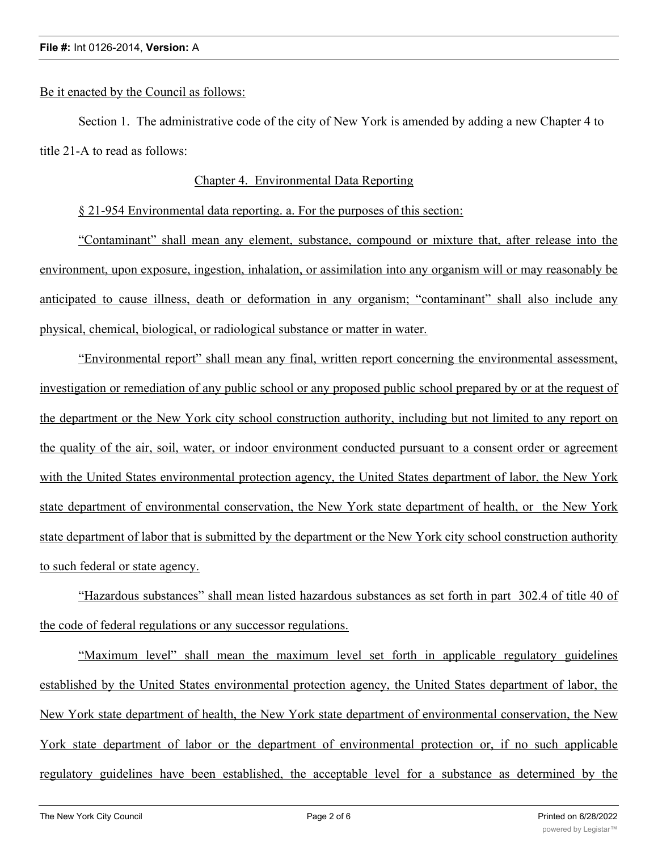# Be it enacted by the Council as follows:

Section 1. The administrative code of the city of New York is amended by adding a new Chapter 4 to title 21-A to read as follows:

# Chapter 4. Environmental Data Reporting

§ 21-954 Environmental data reporting. a. For the purposes of this section:

"Contaminant" shall mean any element, substance, compound or mixture that, after release into the environment, upon exposure, ingestion, inhalation, or assimilation into any organism will or may reasonably be anticipated to cause illness, death or deformation in any organism; "contaminant" shall also include any physical, chemical, biological, or radiological substance or matter in water.

"Environmental report" shall mean any final, written report concerning the environmental assessment, investigation or remediation of any public school or any proposed public school prepared by or at the request of the department or the New York city school construction authority, including but not limited to any report on the quality of the air, soil, water, or indoor environment conducted pursuant to a consent order or agreement with the United States environmental protection agency, the United States department of labor, the New York state department of environmental conservation, the New York state department of health, or the New York state department of labor that is submitted by the department or the New York city school construction authority to such federal or state agency.

"Hazardous substances" shall mean listed hazardous substances as set forth in part 302.4 of title 40 of the code of federal regulations or any successor regulations.

"Maximum level" shall mean the maximum level set forth in applicable regulatory guidelines established by the United States environmental protection agency, the United States department of labor, the New York state department of health, the New York state department of environmental conservation, the New York state department of labor or the department of environmental protection or, if no such applicable regulatory guidelines have been established, the acceptable level for a substance as determined by the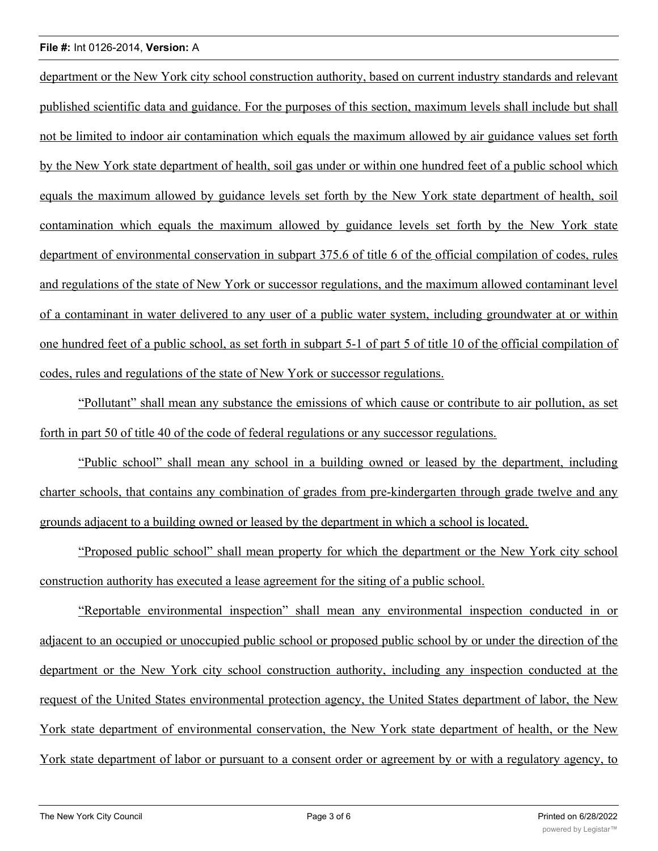## **File #:** Int 0126-2014, **Version:** A

department or the New York city school construction authority, based on current industry standards and relevant published scientific data and guidance. For the purposes of this section, maximum levels shall include but shall not be limited to indoor air contamination which equals the maximum allowed by air guidance values set forth by the New York state department of health, soil gas under or within one hundred feet of a public school which equals the maximum allowed by guidance levels set forth by the New York state department of health, soil contamination which equals the maximum allowed by guidance levels set forth by the New York state department of environmental conservation in subpart 375.6 of title 6 of the official compilation of codes, rules and regulations of the state of New York or successor regulations, and the maximum allowed contaminant level of a contaminant in water delivered to any user of a public water system, including groundwater at or within one hundred feet of a public school, as set forth in subpart 5-1 of part 5 of title 10 of the official compilation of codes, rules and regulations of the state of New York or successor regulations.

"Pollutant" shall mean any substance the emissions of which cause or contribute to air pollution, as set forth in part 50 of title 40 of the code of federal regulations or any successor regulations.

"Public school" shall mean any school in a building owned or leased by the department, including charter schools, that contains any combination of grades from pre-kindergarten through grade twelve and any grounds adjacent to a building owned or leased by the department in which a school is located.

"Proposed public school" shall mean property for which the department or the New York city school construction authority has executed a lease agreement for the siting of a public school.

"Reportable environmental inspection" shall mean any environmental inspection conducted in or adjacent to an occupied or unoccupied public school or proposed public school by or under the direction of the department or the New York city school construction authority, including any inspection conducted at the request of the United States environmental protection agency, the United States department of labor, the New York state department of environmental conservation, the New York state department of health, or the New York state department of labor or pursuant to a consent order or agreement by or with a regulatory agency, to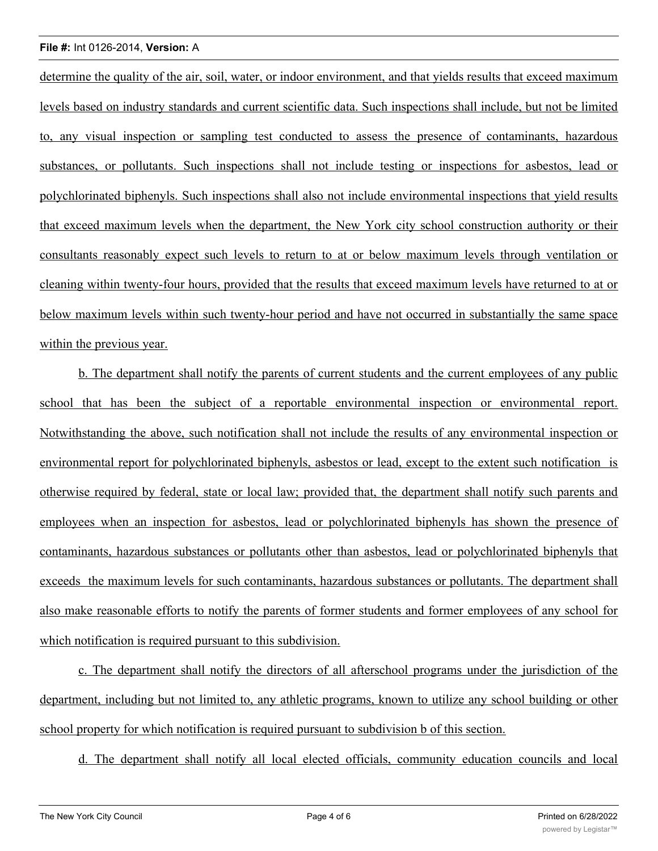### **File #:** Int 0126-2014, **Version:** A

determine the quality of the air, soil, water, or indoor environment, and that yields results that exceed maximum levels based on industry standards and current scientific data. Such inspections shall include, but not be limited to, any visual inspection or sampling test conducted to assess the presence of contaminants, hazardous substances, or pollutants. Such inspections shall not include testing or inspections for asbestos, lead or polychlorinated biphenyls. Such inspections shall also not include environmental inspections that yield results that exceed maximum levels when the department, the New York city school construction authority or their consultants reasonably expect such levels to return to at or below maximum levels through ventilation or cleaning within twenty-four hours, provided that the results that exceed maximum levels have returned to at or below maximum levels within such twenty-hour period and have not occurred in substantially the same space within the previous year.

b. The department shall notify the parents of current students and the current employees of any public school that has been the subject of a reportable environmental inspection or environmental report. Notwithstanding the above, such notification shall not include the results of any environmental inspection or environmental report for polychlorinated biphenyls, asbestos or lead, except to the extent such notification is otherwise required by federal, state or local law; provided that, the department shall notify such parents and employees when an inspection for asbestos, lead or polychlorinated biphenyls has shown the presence of contaminants, hazardous substances or pollutants other than asbestos, lead or polychlorinated biphenyls that exceeds the maximum levels for such contaminants, hazardous substances or pollutants. The department shall also make reasonable efforts to notify the parents of former students and former employees of any school for which notification is required pursuant to this subdivision.

c. The department shall notify the directors of all afterschool programs under the jurisdiction of the department, including but not limited to, any athletic programs, known to utilize any school building or other school property for which notification is required pursuant to subdivision b of this section.

d. The department shall notify all local elected officials, community education councils and local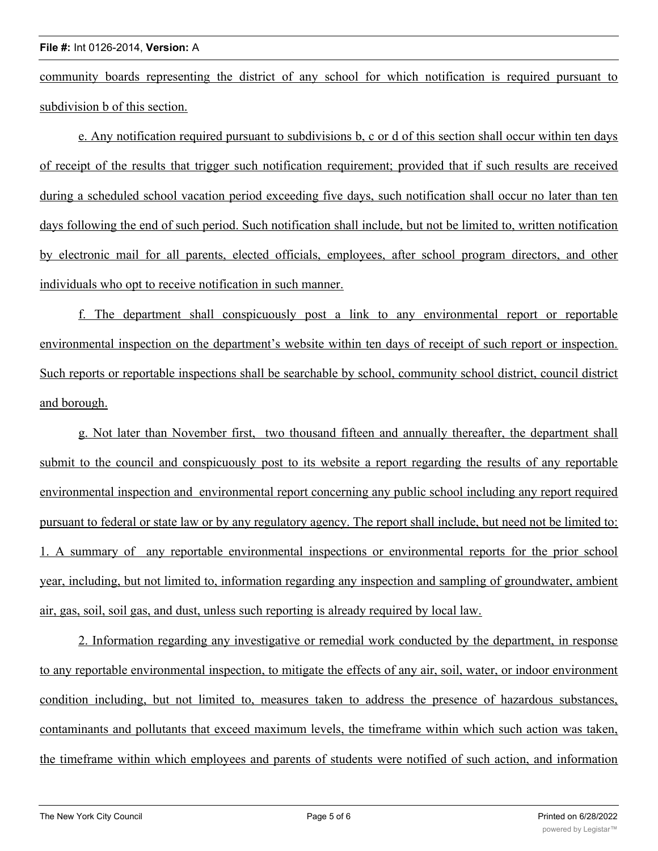community boards representing the district of any school for which notification is required pursuant to subdivision b of this section.

e. Any notification required pursuant to subdivisions b, c or d of this section shall occur within ten days of receipt of the results that trigger such notification requirement; provided that if such results are received during a scheduled school vacation period exceeding five days, such notification shall occur no later than ten days following the end of such period. Such notification shall include, but not be limited to, written notification by electronic mail for all parents, elected officials, employees, after school program directors, and other individuals who opt to receive notification in such manner.

f. The department shall conspicuously post a link to any environmental report or reportable environmental inspection on the department's website within ten days of receipt of such report or inspection. Such reports or reportable inspections shall be searchable by school, community school district, council district and borough.

g. Not later than November first, two thousand fifteen and annually thereafter, the department shall submit to the council and conspicuously post to its website a report regarding the results of any reportable environmental inspection and environmental report concerning any public school including any report required pursuant to federal or state law or by any regulatory agency. The report shall include, but need not be limited to: 1. A summary of any reportable environmental inspections or environmental reports for the prior school year, including, but not limited to, information regarding any inspection and sampling of groundwater, ambient air, gas, soil, soil gas, and dust, unless such reporting is already required by local law.

2. Information regarding any investigative or remedial work conducted by the department, in response to any reportable environmental inspection, to mitigate the effects of any air, soil, water, or indoor environment condition including, but not limited to, measures taken to address the presence of hazardous substances, contaminants and pollutants that exceed maximum levels, the timeframe within which such action was taken, the timeframe within which employees and parents of students were notified of such action, and information